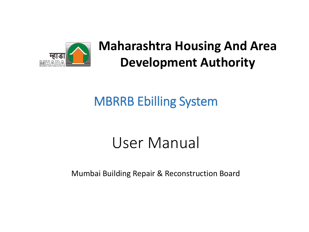

**Maharashtra Housing And Area Development Authority**

#### MBRRB Ebilling System

### User Manual

Mumbai Building Repair & Reconstruction Board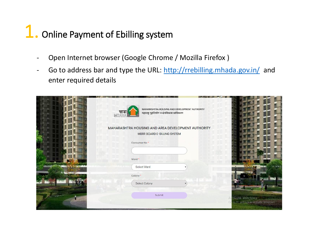## 1. Online Payment of Ebilling system

- Open Internet browser (Google Chrome / Mozilla Firefox )
- Go to address bar and type the URL: <http://rrebilling.mhada.gov.in/> and enter required details

| MAHARASHTRA HOUSING AND DEVELOPMENT AUTHORITY<br>म्हाडा<br>महाराष्ट्र गृहनिर्माण व क्षेत्रविकास प्राधिकरण<br>MHAD    |                                                                                      |
|----------------------------------------------------------------------------------------------------------------------|--------------------------------------------------------------------------------------|
| MAHARASHTRA HOUSING AND AREA DEVELOPMENT AUTHORITY<br><b>MBRR BOARD E-BILLING SYSTEM</b><br>Consumer No <sup>*</sup> |                                                                                      |
| Ward *                                                                                                               |                                                                                      |
| Select Ward<br>Colony *                                                                                              |                                                                                      |
| Select Colony<br>Submit                                                                                              | Activate Windows<br><b>STORY OF STREET</b><br>Go to PC settings to activate Windows. |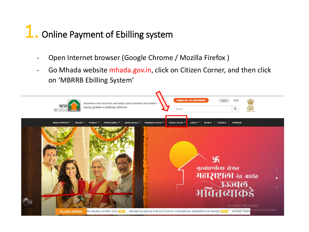# 1. Online Payment of Ebilling system

- Open Internet browser (Google Chrome / Mozilla Firefox)
- Go Mhada website mhada.gov.in, click on Citizen Corner, and then click on 'MBRRB Ebilling System'

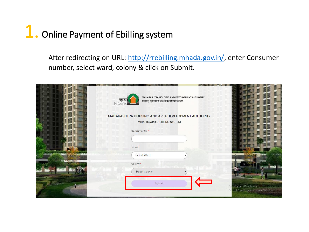## 1. Online Payment of Ebilling system

- After redirecting on URL:<http://rrebilling.mhada.gov.in/>, enter Consumer number, select ward, colony & click on Submit.

| MAHARASHTRA HOUSING AND DEVELOPMENT AUTHORITY<br>म्हाडा<br>महाराष्ट्र गृहनिर्माण व क्षेत्रविकास प्राधिकरण<br>MHAD |                                                                                              |
|-------------------------------------------------------------------------------------------------------------------|----------------------------------------------------------------------------------------------|
| MAHARASHTRA HOUSING AND AREA DEVELOPMENT AUTHORITY<br><b>MBRR BOARD E-BILLING SYSTEM</b>                          |                                                                                              |
| Consumer No *<br>Ward *                                                                                           |                                                                                              |
| Select Ward<br>Colony *<br>Select Colony                                                                          |                                                                                              |
| Submit                                                                                                            | tivate Windows<br><b>Controller Company</b><br>A<br>to PC settings to activate Windows.<br>G |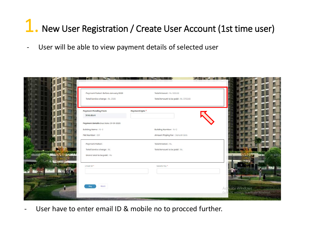### New User Registration / Create User Account (1st time user)

- User will be able to view payment details of selected user

| Payment Period : Before January 2020 | Total Interest: Rs. 1200.00          |                                        |
|--------------------------------------|--------------------------------------|----------------------------------------|
| Total Service charge: Rs. 2500       | Total Amount to be paid: Rs. 3700.00 |                                        |
| <b>Payment Pending From</b>          | Payment Upto *                       |                                        |
| 2016-08-01                           |                                      |                                        |
| Payment Details Due Date: 31-01-2020 |                                      |                                        |
| Building Name: 15-C                  | Building Number: 15-C                |                                        |
| Flat Number: 001                     | Amount Paying For: Ganesh Bele       |                                        |
| Payment Period:                      | Total Interest: Rs.                  |                                        |
| Total Service charge: Rs.            | Total Amount to be paid: Rs.         |                                        |
| Grand total to be paid : Rs.         |                                      |                                        |
| Email Id*                            | Mobile No.*                          |                                        |
|                                      |                                      |                                        |
|                                      |                                      |                                        |
| Back<br>Pay                          |                                      | Activate Windows                       |
|                                      |                                      | Go to PC settings to activate Windows. |

- User have to enter email ID & mobile no to procced further.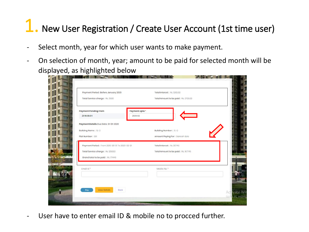### New User Registration / Create User Account (1st time user)

- Select month, year for which user wants to make payment.
- On selection of month, year; amount to be paid for selected month will be displayed, as highlighted below

| Payment Period : Before January 2020          | Total Interest: Rs. 1200.00          |
|-----------------------------------------------|--------------------------------------|
| Total Service charge: Rs. 2500                | Total Amount to be paid: Rs. 3700.00 |
| <b>Payment Pending From</b>                   | Payment Upto*                        |
| 2016-08-01                                    | 2020-02                              |
| Payment Details Due Date: 31-01-2020          |                                      |
| Building Name: 15-C                           | Building Number: 15-C                |
| Flat Number: 001                              | Amount Paying For: Ganesh Bele       |
| Payment Period: From 2016-08-01 To 2020-02-01 | Total Interest: Rs. 38745            |
| Total Service charge: Rs. 129000              | Total Amount to be paid: Rs. 167745  |
| Grand total to be paid: Rs. 171445            |                                      |
| Email Id*                                     | Mobile No. *                         |
|                                               |                                      |
|                                               |                                      |
| <b>View Details</b><br>Back<br>Pay            |                                      |

- User have to enter email ID & mobile no to procced further.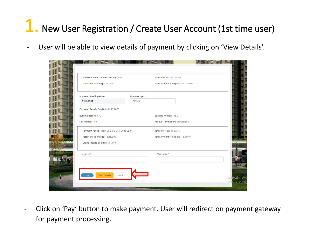## New User Registration / Create User Account (1st time user)

User will be able to view details of payment by clicking on 'View Details'.



- Click on 'Pay' button to make payment. User will redirect on payment gateway for payment processing.